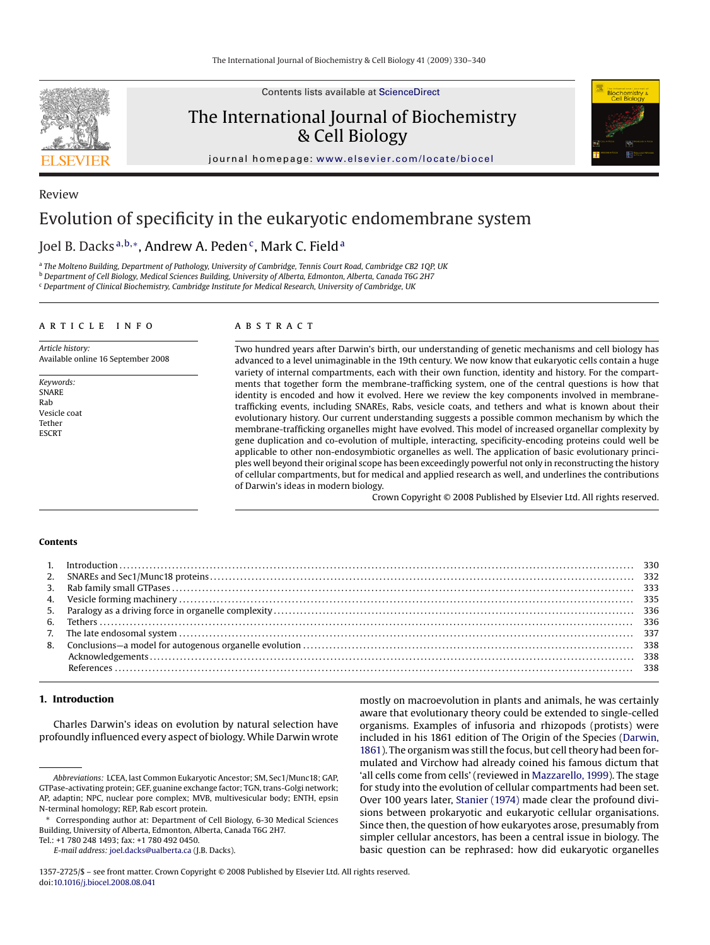

Contents lists available at [ScienceDirect](http://www.sciencedirect.com/science/journal/13572725)

## The International Journal of Biochemistry & Cell Biology

journal homepage: [www.elsevier.com/locate/biocel](http://www.elsevier.com/locate/biocel)



# Review Evolution of specificity in the eukaryotic endomembrane system

## Joel B. Dacks<sup>a,b,∗</sup>, Andrew A. Peden<sup>c</sup>, Mark C. Field<sup>a</sup>

<sup>a</sup> *The Molteno Building, Department of Pathology, University of Cambridge, Tennis Court Road, Cambridge CB2 1QP, UK* <sup>b</sup> *Department of Cell Biology, Medical Sciences Building, University of Alberta, Edmonton, Alberta, Canada T6G 2H7* <sup>c</sup> *Department of Clinical Biochemistry, Cambridge Institute for Medical Research, University of Cambridge, UK*

## article info

*Article history:* Available online 16 September 2008

*Keywords:* **SNARE** Rab Vesicle coat Tether **ESCRT** 

#### **ABSTRACT**

Two hundred years after Darwin's birth, our understanding of genetic mechanisms and cell biology has advanced to a level unimaginable in the 19th century. We now know that eukaryotic cells contain a huge variety of internal compartments, each with their own function, identity and history. For the compartments that together form the membrane-trafficking system, one of the central questions is how that identity is encoded and how it evolved. Here we review the key components involved in membranetrafficking events, including SNAREs, Rabs, vesicle coats, and tethers and what is known about their evolutionary history. Our current understanding suggests a possible common mechanism by which the membrane-trafficking organelles might have evolved. This model of increased organellar complexity by gene duplication and co-evolution of multiple, interacting, specificity-encoding proteins could well be applicable to other non-endosymbiotic organelles as well. The application of basic evolutionary principles well beyond their original scope has been exceedingly powerful not only in reconstructing the history of cellular compartments, but for medical and applied research as well, and underlines the contributions of Darwin's ideas in modern biology.

Crown Copyright © 2008 Published by Elsevier Ltd. All rights reserved.

## **Contents**

## **1. Introduction**

Charles Darwin's ideas on evolution by natural selection have profoundly influenced every aspect of biology. While Darwin wrote

Tel.: +1 780 248 1493; fax: +1 780 492 0450. *E-mail address:* [joel.dacks@ualberta.ca](mailto:joel.dacks@ualberta.ca) (J.B. Dacks). mostly on macroevolution in plants and animals, he was certainly aware that evolutionary theory could be extended to single-celled organisms. Examples of infusoria and rhizopods (protists) were included in his 1861 edition of The Origin of the Species ([Darwin,](#page-9-0) [1861\).](#page-9-0) The organism was still the focus, but cell theory had been formulated and Virchow had already coined his famous dictum that 'all cells come from cells' (reviewed in [Mazzarello, 1999\).](#page-9-0) The stage for study into the evolution of cellular compartments had been set. Over 100 years later, [Stanier \(1974\)](#page-10-0) made clear the profound divisions between prokaryotic and eukaryotic cellular organisations. Since then, the question of how eukaryotes arose, presumably from simpler cellular ancestors, has been a central issue in biology. The basic question can be rephrased: how did eukaryotic organelles

*Abbreviations:* LCEA, last Common Eukaryotic Ancestor; SM, Sec1/Munc18; GAP, GTPase-activating protein; GEF, guanine exchange factor; TGN, trans-Golgi network; AP, adaptin; NPC, nuclear pore complex; MVB, multivesicular body; ENTH, epsin N-terminal homology; REP, Rab escort protein.

<sup>∗</sup> Corresponding author at: Department of Cell Biology, 6-30 Medical Sciences Building, University of Alberta, Edmonton, Alberta, Canada T6G 2H7.

<sup>1357-2725/\$ –</sup> see front matter. Crown Copyright © 2008 Published by Elsevier Ltd. All rights reserved. doi:[10.1016/j.biocel.2008.08.041](dx.doi.org/10.1016/j.biocel.2008.08.041)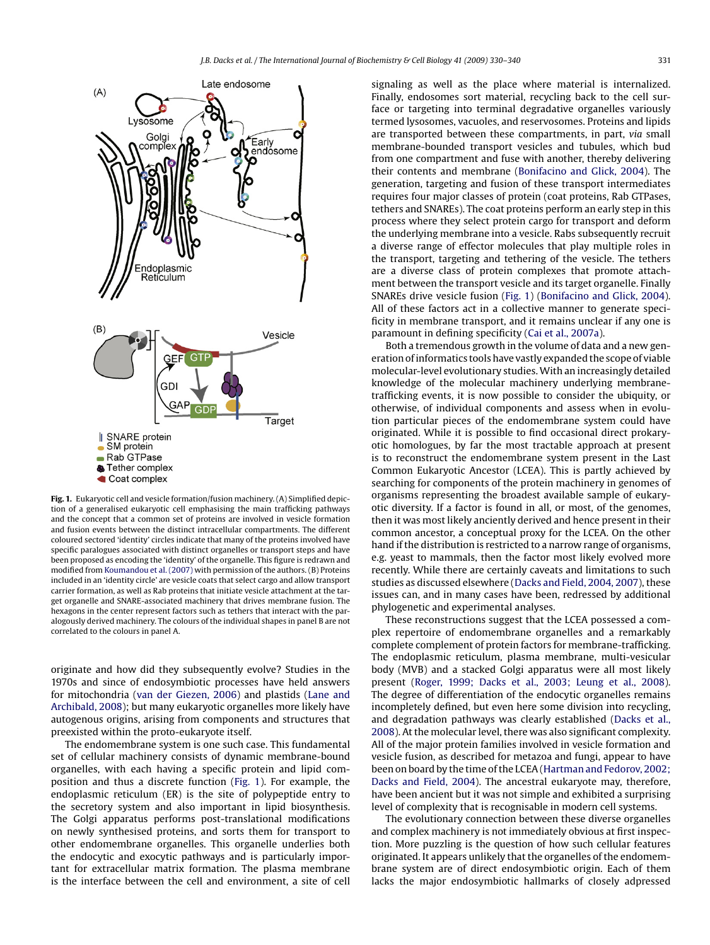<span id="page-1-0"></span>

**Fig. 1.** Eukaryotic cell and vesicle formation/fusion machinery. (A) Simplified depiction of a generalised eukaryotic cell emphasising the main trafficking pathways and the concept that a common set of proteins are involved in vesicle formation and fusion events between the distinct intracellular compartments. The different coloured sectored 'identity' circles indicate that many of the proteins involved have specific paralogues associated with distinct organelles or transport steps and have been proposed as encoding the 'identity' of the organelle. This figure is redrawn and modified from [Koumandou et al. \(2007\)](#page-9-0) with permission of the authors. (B) Proteins included in an 'identity circle' are vesicle coats that select cargo and allow transport carrier formation, as well as Rab proteins that initiate vesicle attachment at the target organelle and SNARE-associated machinery that drives membrane fusion. The hexagons in the center represent factors such as tethers that interact with the paralogously derived machinery. The colours of the individual shapes in panel B are not correlated to the colours in panel A.

originate and how did they subsequently evolve? Studies in the 1970s and since of endosymbiotic processes have held answers for mitochondria ([van der Giezen, 2006\)](#page-10-0) and plastids [\(Lane and](#page-9-0) [Archibald, 2008\);](#page-9-0) but many eukaryotic organelles more likely have autogenous origins, arising from components and structures that preexisted within the proto-eukaryote itself.

The endomembrane system is one such case. This fundamental set of cellular machinery consists of dynamic membrane-bound organelles, with each having a specific protein and lipid composition and thus a discrete function (Fig. 1). For example, the endoplasmic reticulum (ER) is the site of polypeptide entry to the secretory system and also important in lipid biosynthesis. The Golgi apparatus performs post-translational modifications on newly synthesised proteins, and sorts them for transport to other endomembrane organelles. This organelle underlies both the endocytic and exocytic pathways and is particularly important for extracellular matrix formation. The plasma membrane is the interface between the cell and environment, a site of cell signaling as well as the place where material is internalized. Finally, endosomes sort material, recycling back to the cell surface or targeting into terminal degradative organelles variously termed lysosomes, vacuoles, and reservosomes. Proteins and lipids are transported between these compartments, in part, *via* small membrane-bounded transport vesicles and tubules, which bud from one compartment and fuse with another, thereby delivering their contents and membrane [\(Bonifacino and Glick, 2004\).](#page-9-0) The generation, targeting and fusion of these transport intermediates requires four major classes of protein (coat proteins, Rab GTPases, tethers and SNAREs). The coat proteins perform an early step in this process where they select protein cargo for transport and deform the underlying membrane into a vesicle. Rabs subsequently recruit a diverse range of effector molecules that play multiple roles in the transport, targeting and tethering of the vesicle. The tethers are a diverse class of protein complexes that promote attachment between the transport vesicle and its target organelle. Finally SNAREs drive vesicle fusion (Fig. 1) ([Bonifacino and Glick, 2004\).](#page-9-0) All of these factors act in a collective manner to generate specificity in membrane transport, and it remains unclear if any one is paramount in defining specificity [\(Cai et al., 2007a\).](#page-9-0)

Both a tremendous growth in the volume of data and a new generation of informatics tools have vastly expanded the scope of viable molecular-level evolutionary studies. With an increasingly detailed knowledge of the molecular machinery underlying membranetrafficking events, it is now possible to consider the ubiquity, or otherwise, of individual components and assess when in evolution particular pieces of the endomembrane system could have originated. While it is possible to find occasional direct prokaryotic homologues, by far the most tractable approach at present is to reconstruct the endomembrane system present in the Last Common Eukaryotic Ancestor (LCEA). This is partly achieved by searching for components of the protein machinery in genomes of organisms representing the broadest available sample of eukaryotic diversity. If a factor is found in all, or most, of the genomes, then it was most likely anciently derived and hence present in their common ancestor, a conceptual proxy for the LCEA. On the other hand if the distribution is restricted to a narrow range of organisms, e.g. yeast to mammals, then the factor most likely evolved more recently. While there are certainly caveats and limitations to such studies as discussed elsewhere ([Dacks and Field, 2004, 2007\),](#page-9-0) these issues can, and in many cases have been, redressed by additional phylogenetic and experimental analyses.

These reconstructions suggest that the LCEA possessed a complex repertoire of endomembrane organelles and a remarkably complete complement of protein factors for membrane-trafficking. The endoplasmic reticulum, plasma membrane, multi-vesicular body (MVB) and a stacked Golgi apparatus were all most likely present [\(Roger, 1999; Dacks et al., 2003; Leung et al., 2008\).](#page-10-0) The degree of differentiation of the endocytic organelles remains incompletely defined, but even here some division into recycling, and degradation pathways was clearly established [\(Dacks et al.,](#page-9-0) [2008\).](#page-9-0) At the molecular level, there was also significant complexity. All of the major protein families involved in vesicle formation and vesicle fusion, as described for metazoa and fungi, appear to have been on board by the time of the LCEA [\(Hartman and Fedorov, 2002;](#page-9-0) [Dacks and Field, 2004\).](#page-9-0) The ancestral eukaryote may, therefore, have been ancient but it was not simple and exhibited a surprising level of complexity that is recognisable in modern cell systems.

The evolutionary connection between these diverse organelles and complex machinery is not immediately obvious at first inspection. More puzzling is the question of how such cellular features originated. It appears unlikely that the organelles of the endomembrane system are of direct endosymbiotic origin. Each of them lacks the major endosymbiotic hallmarks of closely adpressed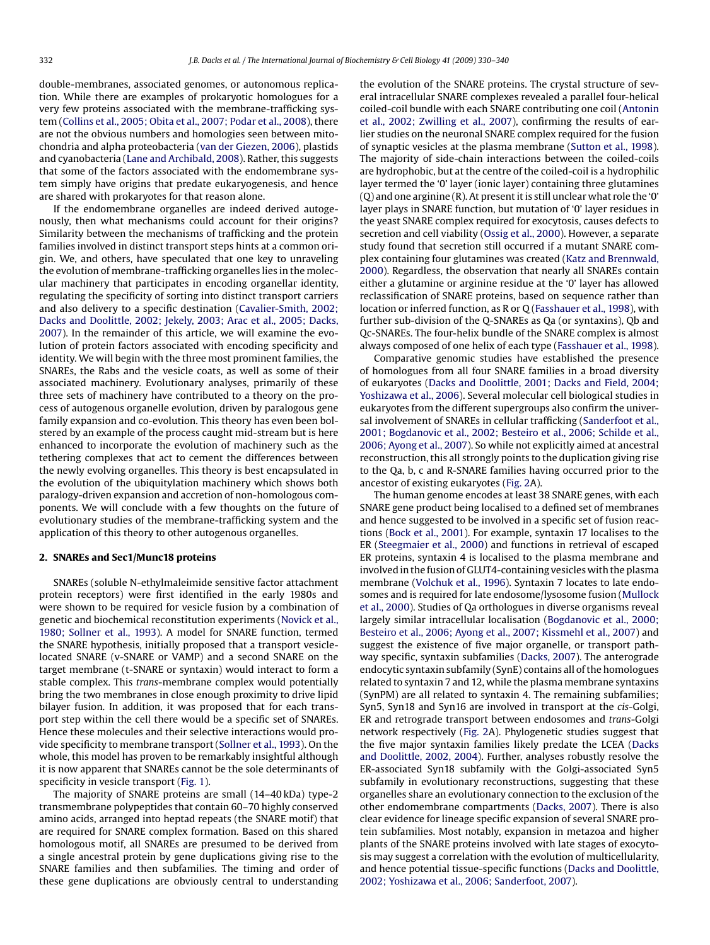double-membranes, associated genomes, or autonomous replication. While there are examples of prokaryotic homologues for a very few proteins associated with the membrane-trafficking system ([Collins et al., 2005; Obita et al., 2007; Podar et al., 2008\),](#page-9-0) there are not the obvious numbers and homologies seen between mitochondria and alpha proteobacteria ([van der Giezen, 2006\),](#page-10-0) plastids and cyanobacteria [\(Lane and Archibald, 2008\).](#page-9-0) Rather, this suggests that some of the factors associated with the endomembrane system simply have origins that predate eukaryogenesis, and hence are shared with prokaryotes for that reason alone.

If the endomembrane organelles are indeed derived autogenously, then what mechanisms could account for their origins? Similarity between the mechanisms of trafficking and the protein families involved in distinct transport steps hints at a common origin. We, and others, have speculated that one key to unraveling the evolution of membrane-trafficking organelles lies in the molecular machinery that participates in encoding organellar identity, regulating the specificity of sorting into distinct transport carriers and also delivery to a specific destination ([Cavalier-Smith, 2002;](#page-9-0) [Dacks and Doolittle, 2002; Jekely, 2003; Arac et al., 2005; Dacks,](#page-9-0) [2007\).](#page-9-0) In the remainder of this article, we will examine the evolution of protein factors associated with encoding specificity and identity. We will begin with the three most prominent families, the SNAREs, the Rabs and the vesicle coats, as well as some of their associated machinery. Evolutionary analyses, primarily of these three sets of machinery have contributed to a theory on the process of autogenous organelle evolution, driven by paralogous gene family expansion and co-evolution. This theory has even been bolstered by an example of the process caught mid-stream but is here enhanced to incorporate the evolution of machinery such as the tethering complexes that act to cement the differences between the newly evolving organelles. This theory is best encapsulated in the evolution of the ubiquitylation machinery which shows both paralogy-driven expansion and accretion of non-homologous components. We will conclude with a few thoughts on the future of evolutionary studies of the membrane-trafficking system and the application of this theory to other autogenous organelles.

#### **2. SNAREs and Sec1/Munc18 proteins**

SNAREs (soluble N-ethylmaleimide sensitive factor attachment protein receptors) were first identified in the early 1980s and were shown to be required for vesicle fusion by a combination of genetic and biochemical reconstitution experiments ([Novick et al.,](#page-9-0) [1980; Sollner et al., 1993\).](#page-9-0) A model for SNARE function, termed the SNARE hypothesis, initially proposed that a transport vesiclelocated SNARE (v-SNARE or VAMP) and a second SNARE on the target membrane (t-SNARE or syntaxin) would interact to form a stable complex. This *trans*-membrane complex would potentially bring the two membranes in close enough proximity to drive lipid bilayer fusion. In addition, it was proposed that for each transport step within the cell there would be a specific set of SNAREs. Hence these molecules and their selective interactions would provide specificity to membrane transport ([Sollner et al., 1993\).](#page-10-0) On the whole, this model has proven to be remarkably insightful although it is now apparent that SNAREs cannot be the sole determinants of specificity in vesicle transport ([Fig. 1\).](#page-1-0)

The majority of SNARE proteins are small (14–40 kDa) type-2 transmembrane polypeptides that contain 60–70 highly conserved amino acids, arranged into heptad repeats (the SNARE motif) that are required for SNARE complex formation. Based on this shared homologous motif, all SNAREs are presumed to be derived from a single ancestral protein by gene duplications giving rise to the SNARE families and then subfamilies. The timing and order of these gene duplications are obviously central to understanding the evolution of the SNARE proteins. The crystal structure of several intracellular SNARE complexes revealed a parallel four-helical coiled-coil bundle with each SNARE contributing one coil [\(Antonin](#page-8-0) [et al., 2002; Zwilling et al., 2007\),](#page-8-0) confirming the results of earlier studies on the neuronal SNARE complex required for the fusion of synaptic vesicles at the plasma membrane [\(Sutton et al., 1998\).](#page-10-0) The majority of side-chain interactions between the coiled-coils are hydrophobic, but at the centre of the coiled-coil is a hydrophilic layer termed the '0' layer (ionic layer) containing three glutamines (Q) and one arginine (R). At present it is still unclear what role the '0' layer plays in SNARE function, but mutation of '0' layer residues in the yeast SNARE complex required for exocytosis, causes defects to secretion and cell viability [\(Ossig et al., 2000\).](#page-10-0) However, a separate study found that secretion still occurred if a mutant SNARE complex containing four glutamines was created ([Katz and Brennwald,](#page-9-0) [2000\).](#page-9-0) Regardless, the observation that nearly all SNAREs contain either a glutamine or arginine residue at the '0' layer has allowed reclassification of SNARE proteins, based on sequence rather than location or inferred function, as R or Q [\(Fasshauer et al., 1998\),](#page-9-0) with further sub-division of the Q-SNAREs as Qa (or syntaxins), Qb and Qc-SNAREs. The four-helix bundle of the SNARE complex is almost always composed of one helix of each type ([Fasshauer et al., 1998\).](#page-9-0)

Comparative genomic studies have established the presence of homologues from all four SNARE families in a broad diversity of eukaryotes ([Dacks and Doolittle, 2001; Dacks and Field, 2004;](#page-9-0) [Yoshizawa et al., 2006\).](#page-9-0) Several molecular cell biological studies in eukaryotes from the different supergroups also confirm the universal involvement of SNAREs in cellular trafficking [\(Sanderfoot et al.,](#page-10-0) [2001; Bogdanovic et al., 2002; Besteiro et al., 2006; Schilde et al.,](#page-10-0) [2006; Ayong et al., 2007\).](#page-10-0) So while not explicitly aimed at ancestral reconstruction, this all strongly points to the duplication giving rise to the Qa, b, c and R-SNARE families having occurred prior to the ancestor of existing eukaryotes ([Fig. 2A](#page-3-0)).

The human genome encodes at least 38 SNARE genes, with each SNARE gene product being localised to a defined set of membranes and hence suggested to be involved in a specific set of fusion reactions ([Bock et al., 2001\).](#page-8-0) For example, syntaxin 17 localises to the ER ([Steegmaier et al., 2000\)](#page-10-0) and functions in retrieval of escaped ER proteins, syntaxin 4 is localised to the plasma membrane and involved in the fusion of GLUT4-containing vesicles with the plasma membrane ([Volchuk et al., 1996\).](#page-10-0) Syntaxin 7 locates to late endosomes and is required for late endosome/lysosome fusion [\(Mullock](#page-9-0) [et al., 2000\).](#page-9-0) Studies of Qa orthologues in diverse organisms reveal largely similar intracellular localisation [\(Bogdanovic et al., 2000;](#page-9-0) [Besteiro et al., 2006; Ayong et al., 2007; Kissmehl et al., 2007\)](#page-9-0) and suggest the existence of five major organelle, or transport pathway specific, syntaxin subfamilies [\(Dacks, 2007\).](#page-9-0) The anterograde endocytic syntaxin subfamily (SynE) contains all of the homologues related to syntaxin 7 and 12, while the plasma membrane syntaxins (SynPM) are all related to syntaxin 4. The remaining subfamilies; Syn5, Syn18 and Syn16 are involved in transport at the *cis*-Golgi, ER and retrograde transport between endosomes and *trans*-Golgi network respectively ([Fig. 2A](#page-3-0)). Phylogenetic studies suggest that the five major syntaxin families likely predate the LCEA [\(Dacks](#page-9-0) [and Doolittle, 2002, 2004\).](#page-9-0) Further, analyses robustly resolve the ER-associated Syn18 subfamily with the Golgi-associated Syn5 subfamily in evolutionary reconstructions, suggesting that these organelles share an evolutionary connection to the exclusion of the other endomembrane compartments [\(Dacks, 2007\).](#page-9-0) There is also clear evidence for lineage specific expansion of several SNARE protein subfamilies. Most notably, expansion in metazoa and higher plants of the SNARE proteins involved with late stages of exocytosis may suggest a correlation with the evolution of multicellularity, and hence potential tissue-specific functions ([Dacks and Doolittle,](#page-9-0) [2002; Yoshizawa et al., 2006; Sanderfoot, 2007\).](#page-9-0)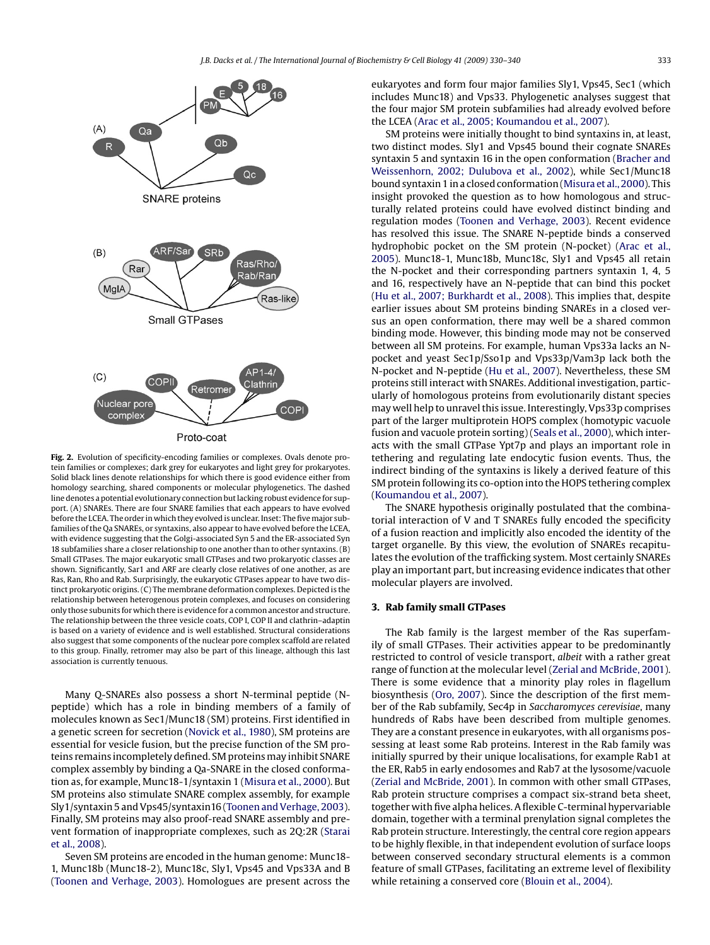<span id="page-3-0"></span>

**Fig. 2.** Evolution of specificity-encoding families or complexes. Ovals denote protein families or complexes; dark grey for eukaryotes and light grey for prokaryotes. Solid black lines denote relationships for which there is good evidence either from homology searching, shared components or molecular phylogenetics. The dashed line denotes a potential evolutionary connection but lacking robust evidence for support. (A) SNAREs. There are four SNARE families that each appears to have evolved before the LCEA. The order in which they evolved is unclear. Inset: The five major subfamilies of the Qa SNAREs, or syntaxins, also appear to have evolved before the LCEA, with evidence suggesting that the Golgi-associated Syn 5 and the ER-associated Syn 18 subfamilies share a closer relationship to one another than to other syntaxins. (B) Small GTPases. The major eukaryotic small GTPases and two prokaryotic classes are shown. Significantly, Sar1 and ARF are clearly close relatives of one another, as are Ras, Ran, Rho and Rab. Surprisingly, the eukaryotic GTPases appear to have two distinct prokaryotic origins. (C) The membrane deformation complexes. Depicted is the relationship between heterogenous protein complexes, and focuses on considering only those subunits for which there is evidence for a common ancestor and structure. The relationship between the three vesicle coats, COP I, COP II and clathrin–adaptin is based on a variety of evidence and is well established. Structural considerations also suggest that some components of the nuclear pore complex scaffold are related to this group. Finally, retromer may also be part of this lineage, although this last association is currently tenuous.

Many Q-SNAREs also possess a short N-terminal peptide (Npeptide) which has a role in binding members of a family of molecules known as Sec1/Munc18 (SM) proteins. First identified in a genetic screen for secretion [\(Novick et al., 1980\),](#page-9-0) SM proteins are essential for vesicle fusion, but the precise function of the SM proteins remains incompletely defined. SM proteins may inhibit SNARE complex assembly by binding a Qa-SNARE in the closed conformation as, for example, Munc18-1/syntaxin 1 [\(Misura et al., 2000\).](#page-9-0) But SM proteins also stimulate SNARE complex assembly, for example Sly1/syntaxin 5 and Vps45/syntaxin16 [\(Toonen and Verhage, 2003\).](#page-10-0) Finally, SM proteins may also proof-read SNARE assembly and prevent formation of inappropriate complexes, such as 2Q:2R [\(Starai](#page-10-0) [et al., 2008\).](#page-10-0)

Seven SM proteins are encoded in the human genome: Munc18- 1, Munc18b (Munc18-2), Munc18c, Sly1, Vps45 and Vps33A and B ([Toonen and Verhage, 2003\).](#page-10-0) Homologues are present across the eukaryotes and form four major families Sly1, Vps45, Sec1 (which includes Munc18) and Vps33. Phylogenetic analyses suggest that the four major SM protein subfamilies had already evolved before the LCEA ([Arac et al., 2005; Koumandou et al., 2007\).](#page-8-0)

SM proteins were initially thought to bind syntaxins in, at least, two distinct modes. Sly1 and Vps45 bound their cognate SNAREs syntaxin 5 and syntaxin 16 in the open conformation [\(Bracher and](#page-9-0) [Weissenhorn, 2002; Dulubova et al., 2002\),](#page-9-0) while Sec1/Munc18 bound syntaxin 1 in a closed conformation ([Misura et al., 2000\).](#page-9-0) This insight provoked the question as to how homologous and structurally related proteins could have evolved distinct binding and regulation modes [\(Toonen and Verhage, 2003\).](#page-10-0) Recent evidence has resolved this issue. The SNARE N-peptide binds a conserved hydrophobic pocket on the SM protein (N-pocket) ([Arac et al.,](#page-8-0) [2005\).](#page-8-0) Munc18-1, Munc18b, Munc18c, Sly1 and Vps45 all retain the N-pocket and their corresponding partners syntaxin 1, 4, 5 and 16, respectively have an N-peptide that can bind this pocket ([Hu et al., 2007; Burkhardt et al., 2008\).](#page-9-0) This implies that, despite earlier issues about SM proteins binding SNAREs in a closed versus an open conformation, there may well be a shared common binding mode. However, this binding mode may not be conserved between all SM proteins. For example, human Vps33a lacks an Npocket and yeast Sec1p/Sso1p and Vps33p/Vam3p lack both the N-pocket and N-peptide [\(Hu et al., 2007\).](#page-9-0) Nevertheless, these SM proteins still interact with SNAREs. Additional investigation, particularly of homologous proteins from evolutionarily distant species may well help to unravel this issue. Interestingly, Vps33p comprises part of the larger multiprotein HOPS complex (homotypic vacuole fusion and vacuole protein sorting) ([Seals et al., 2000\),](#page-10-0) which interacts with the small GTPase Ypt7p and plays an important role in tethering and regulating late endocytic fusion events. Thus, the indirect binding of the syntaxins is likely a derived feature of this SM protein following its co-option into the HOPS tethering complex ([Koumandou et al., 2007\).](#page-9-0)

The SNARE hypothesis originally postulated that the combinatorial interaction of V and T SNAREs fully encoded the specificity of a fusion reaction and implicitly also encoded the identity of the target organelle. By this view, the evolution of SNAREs recapitulates the evolution of the trafficking system. Most certainly SNAREs play an important part, but increasing evidence indicates that other molecular players are involved.

## **3. Rab family small GTPases**

The Rab family is the largest member of the Ras superfamily of small GTPases. Their activities appear to be predominantly restricted to control of vesicle transport, *albeit* with a rather great range of function at the molecular level ([Zerial and McBride, 2001\).](#page-10-0) There is some evidence that a minority play roles in flagellum biosynthesis [\(Oro, 2007\).](#page-9-0) Since the description of the first member of the Rab subfamily, Sec4p in *Saccharomyces cerevisiae*, many hundreds of Rabs have been described from multiple genomes. They are a constant presence in eukaryotes, with all organisms possessing at least some Rab proteins. Interest in the Rab family was initially spurred by their unique localisations, for example Rab1 at the ER, Rab5 in early endosomes and Rab7 at the lysosome/vacuole ([Zerial and McBride, 2001\).](#page-10-0) In common with other small GTPases, Rab protein structure comprises a compact six-strand beta sheet, together with five alpha helices. A flexible C-terminal hypervariable domain, together with a terminal prenylation signal completes the Rab protein structure. Interestingly, the central core region appears to be highly flexible, in that independent evolution of surface loops between conserved secondary structural elements is a common feature of small GTPases, facilitating an extreme level of flexibility while retaining a conserved core ([Blouin et al., 2004\).](#page-8-0)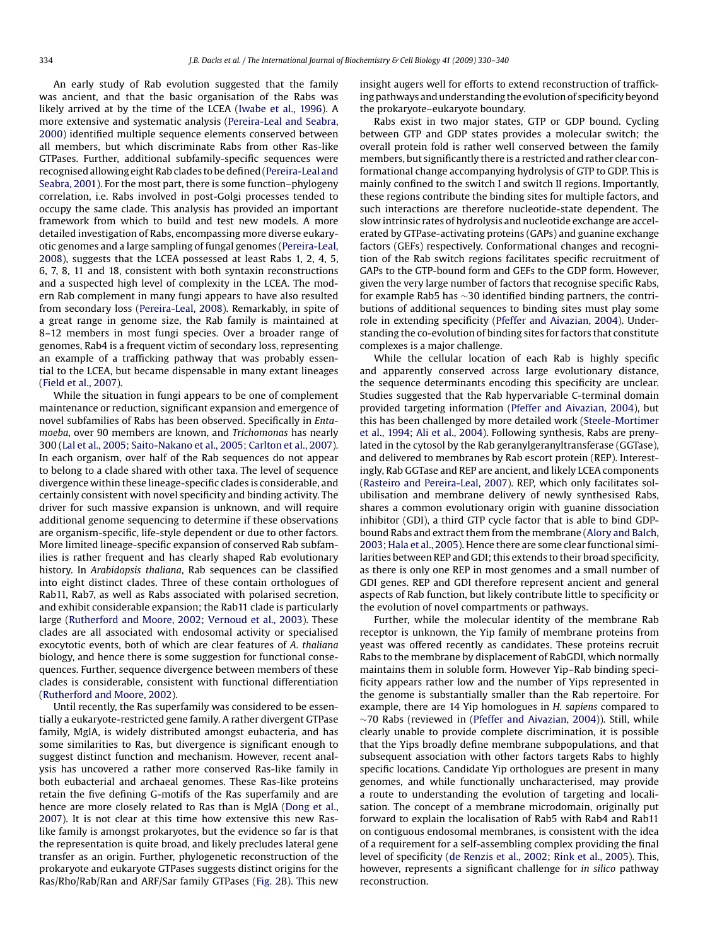An early study of Rab evolution suggested that the family was ancient, and that the basic organisation of the Rabs was likely arrived at by the time of the LCEA [\(Iwabe et al., 1996\).](#page-9-0) A more extensive and systematic analysis [\(Pereira-Leal and Seabra,](#page-10-0) [2000\)](#page-10-0) identified multiple sequence elements conserved between all members, but which discriminate Rabs from other Ras-like GTPases. Further, additional subfamily-specific sequences were recognised allowing eight Rab clades to be defined [\(Pereira-Leal and](#page-10-0) [Seabra, 2001\).](#page-10-0) For the most part, there is some function–phylogeny correlation, i.e. Rabs involved in post-Golgi processes tended to occupy the same clade. This analysis has provided an important framework from which to build and test new models. A more detailed investigation of Rabs, encompassing more diverse eukaryotic genomes and a large sampling of fungal genomes ([Pereira-Leal,](#page-10-0) [2008\),](#page-10-0) suggests that the LCEA possessed at least Rabs 1, 2, 4, 5, 6, 7, 8, 11 and 18, consistent with both syntaxin reconstructions and a suspected high level of complexity in the LCEA. The modern Rab complement in many fungi appears to have also resulted from secondary loss ([Pereira-Leal, 2008\).](#page-10-0) Remarkably, in spite of a great range in genome size, the Rab family is maintained at 8–12 members in most fungi species. Over a broader range of genomes, Rab4 is a frequent victim of secondary loss, representing an example of a trafficking pathway that was probably essential to the LCEA, but became dispensable in many extant lineages ([Field et al., 2007\).](#page-9-0)

While the situation in fungi appears to be one of complement maintenance or reduction, significant expansion and emergence of novel subfamilies of Rabs has been observed. Specifically in *Entamoeba*, over 90 members are known, and *Trichomonas* has nearly 300 [\(Lal et al., 2005; Saito-Nakano et al., 2005; Carlton et al., 2007\).](#page-9-0) In each organism, over half of the Rab sequences do not appear to belong to a clade shared with other taxa. The level of sequence divergence within these lineage-specific clades is considerable, and certainly consistent with novel specificity and binding activity. The driver for such massive expansion is unknown, and will require additional genome sequencing to determine if these observations are organism-specific, life-style dependent or due to other factors. More limited lineage-specific expansion of conserved Rab subfamilies is rather frequent and has clearly shaped Rab evolutionary history. In *Arabidopsis thaliana*, Rab sequences can be classified into eight distinct clades. Three of these contain orthologues of Rab11, Rab7, as well as Rabs associated with polarised secretion, and exhibit considerable expansion; the Rab11 clade is particularly large ([Rutherford and Moore, 2002; Vernoud et al., 2003\).](#page-10-0) These clades are all associated with endosomal activity or specialised exocytotic events, both of which are clear features of *A. thaliana* biology, and hence there is some suggestion for functional consequences. Further, sequence divergence between members of these clades is considerable, consistent with functional differentiation ([Rutherford and Moore, 2002\).](#page-10-0)

Until recently, the Ras superfamily was considered to be essentially a eukaryote-restricted gene family. A rather divergent GTPase family, MglA, is widely distributed amongst eubacteria, and has some similarities to Ras, but divergence is significant enough to suggest distinct function and mechanism. However, recent analysis has uncovered a rather more conserved Ras-like family in both eubacterial and archaeal genomes. These Ras-like proteins retain the five defining G-motifs of the Ras superfamily and are hence are more closely related to Ras than is MglA ([Dong et al.,](#page-9-0) [2007\).](#page-9-0) It is not clear at this time how extensive this new Raslike family is amongst prokaryotes, but the evidence so far is that the representation is quite broad, and likely precludes lateral gene transfer as an origin. Further, phylogenetic reconstruction of the prokaryote and eukaryote GTPases suggests distinct origins for the Ras/Rho/Rab/Ran and ARF/Sar family GTPases [\(Fig. 2B](#page-3-0)). This new insight augers well for efforts to extend reconstruction of trafficking pathways and understanding the evolution of specificity beyond the prokaryote–eukaryote boundary.

Rabs exist in two major states, GTP or GDP bound. Cycling between GTP and GDP states provides a molecular switch; the overall protein fold is rather well conserved between the family members, but significantly there is a restricted and rather clear conformational change accompanying hydrolysis of GTP to GDP. This is mainly confined to the switch I and switch II regions. Importantly, these regions contribute the binding sites for multiple factors, and such interactions are therefore nucleotide-state dependent. The slow intrinsic rates of hydrolysis and nucleotide exchange are accelerated by GTPase-activating proteins (GAPs) and guanine exchange factors (GEFs) respectively. Conformational changes and recognition of the Rab switch regions facilitates specific recruitment of GAPs to the GTP-bound form and GEFs to the GDP form. However, given the very large number of factors that recognise specific Rabs, for example Rab5 has ∼30 identified binding partners, the contributions of additional sequences to binding sites must play some role in extending specificity [\(Pfeffer and Aivazian, 2004\).](#page-10-0) Understanding the co-evolution of binding sites for factors that constitute complexes is a major challenge.

While the cellular location of each Rab is highly specific and apparently conserved across large evolutionary distance, the sequence determinants encoding this specificity are unclear. Studies suggested that the Rab hypervariable C-terminal domain provided targeting information ([Pfeffer and Aivazian, 2004\),](#page-10-0) but this has been challenged by more detailed work ([Steele-Mortimer](#page-10-0) [et al., 1994; Ali et al., 2004\).](#page-10-0) Following synthesis, Rabs are prenylated in the cytosol by the Rab geranylgeranyltransferase (GGTase), and delivered to membranes by Rab escort protein (REP). Interestingly, Rab GGTase and REP are ancient, and likely LCEA components ([Rasteiro and Pereira-Leal, 2007\).](#page-10-0) REP, which only facilitates solubilisation and membrane delivery of newly synthesised Rabs, shares a common evolutionary origin with guanine dissociation inhibitor (GDI), a third GTP cycle factor that is able to bind GDPbound Rabs and extract them from the membrane [\(Alory and Balch,](#page-8-0) [2003; Hala et al., 2005\).](#page-8-0) Hence there are some clear functional similarities between REP and GDI; this extends to their broad specificity, as there is only one REP in most genomes and a small number of GDI genes. REP and GDI therefore represent ancient and general aspects of Rab function, but likely contribute little to specificity or the evolution of novel compartments or pathways.

Further, while the molecular identity of the membrane Rab receptor is unknown, the Yip family of membrane proteins from yeast was offered recently as candidates. These proteins recruit Rabs to the membrane by displacement of RabGDI, which normally maintains them in soluble form. However Yip–Rab binding specificity appears rather low and the number of Yips represented in the genome is substantially smaller than the Rab repertoire. For example, there are 14 Yip homologues in *H. sapiens* compared to ∼70 Rabs (reviewed in [\(Pfeffer and Aivazian, 2004\)\)](#page-10-0). Still, while clearly unable to provide complete discrimination, it is possible that the Yips broadly define membrane subpopulations, and that subsequent association with other factors targets Rabs to highly specific locations. Candidate Yip orthologues are present in many genomes, and while functionally uncharacterised, may provide a route to understanding the evolution of targeting and localisation. The concept of a membrane microdomain, originally put forward to explain the localisation of Rab5 with Rab4 and Rab11 on contiguous endosomal membranes, is consistent with the idea of a requirement for a self-assembling complex providing the final level of specificity [\(de Renzis et al., 2002; Rink et al., 2005\).](#page-9-0) This, however, represents a significant challenge for *in silico* pathway reconstruction.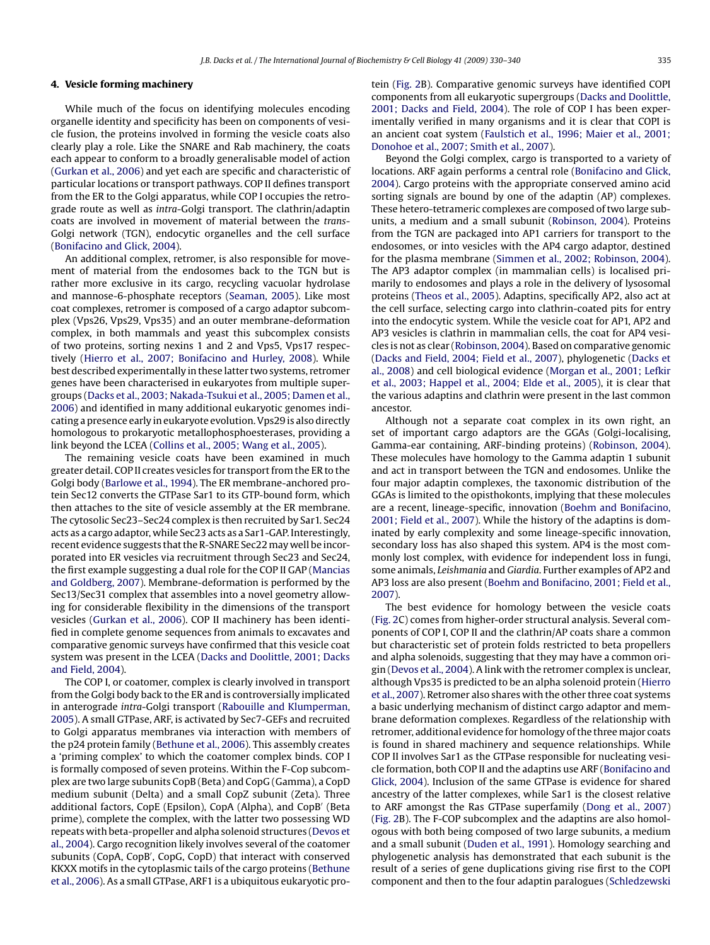#### **4. Vesicle forming machinery**

While much of the focus on identifying molecules encoding organelle identity and specificity has been on components of vesicle fusion, the proteins involved in forming the vesicle coats also clearly play a role. Like the SNARE and Rab machinery, the coats each appear to conform to a broadly generalisable model of action ([Gurkan et al., 2006\)](#page-9-0) and yet each are specific and characteristic of particular locations or transport pathways. COP II defines transport from the ER to the Golgi apparatus, while COP I occupies the retrograde route as well as *intra*-Golgi transport. The clathrin/adaptin coats are involved in movement of material between the *trans*-Golgi network (TGN), endocytic organelles and the cell surface ([Bonifacino and Glick, 2004\).](#page-9-0)

An additional complex, retromer, is also responsible for movement of material from the endosomes back to the TGN but is rather more exclusive in its cargo, recycling vacuolar hydrolase and mannose-6-phosphate receptors [\(Seaman, 2005\).](#page-10-0) Like most coat complexes, retromer is composed of a cargo adaptor subcomplex (Vps26, Vps29, Vps35) and an outer membrane-deformation complex, in both mammals and yeast this subcomplex consists of two proteins, sorting nexins 1 and 2 and Vps5, Vps17 respectively ([Hierro et al., 2007; Bonifacino and Hurley, 2008\).](#page-9-0) While best described experimentally in these latter two systems, retromer genes have been characterised in eukaryotes from multiple supergroups [\(Dacks et al., 2003; Nakada-Tsukui et al., 2005; Damen et al.,](#page-9-0) [2006\)](#page-9-0) and identified in many additional eukaryotic genomes indicating a presence early in eukaryote evolution. Vps29 is also directly homologous to prokaryotic metallophosphoesterases, providing a link beyond the LCEA ([Collins et al., 2005; Wang et al., 2005\).](#page-9-0)

The remaining vesicle coats have been examined in much greater detail. COP II creates vesicles for transport from the ER to the Golgi body [\(Barlowe et al., 1994\).](#page-8-0) The ER membrane-anchored protein Sec12 converts the GTPase Sar1 to its GTP-bound form, which then attaches to the site of vesicle assembly at the ER membrane. The cytosolic Sec23–Sec24 complex is then recruited by Sar1. Sec24 acts as a cargo adaptor, while Sec23 acts as a Sar1-GAP. Interestingly, recent evidence suggests that the R-SNARE Sec22may well be incorporated into ER vesicles via recruitment through Sec23 and Sec24, the first example suggesting a dual role for the COP II GAP [\(Mancias](#page-9-0) [and Goldberg, 2007\).](#page-9-0) Membrane-deformation is performed by the Sec13/Sec31 complex that assembles into a novel geometry allowing for considerable flexibility in the dimensions of the transport vesicles [\(Gurkan et al., 2006\).](#page-9-0) COP II machinery has been identified in complete genome sequences from animals to excavates and comparative genomic surveys have confirmed that this vesicle coat system was present in the LCEA ([Dacks and Doolittle, 2001; Dacks](#page-9-0) [and Field, 2004\).](#page-9-0)

The COP I, or coatomer, complex is clearly involved in transport from the Golgi body back to the ER and is controversially implicated in anterograde *intra*-Golgi transport [\(Rabouille and Klumperman,](#page-10-0) [2005\).](#page-10-0) A small GTPase, ARF, is activated by Sec7-GEFs and recruited to Golgi apparatus membranes via interaction with members of the p24 protein family [\(Bethune et al., 2006\).](#page-8-0) This assembly creates a 'priming complex' to which the coatomer complex binds. COP I is formally composed of seven proteins. Within the F-Cop subcomplex are two large subunits CopB (Beta) and CopG (Gamma), a CopD medium subunit (Delta) and a small CopZ subunit (Zeta). Three additional factors, CopE (Epsilon), CopA (Alpha), and CopB' (Beta prime), complete the complex, with the latter two possessing WD repeats with beta-propeller and alpha solenoid structures [\(Devos et](#page-9-0) [al., 2004\).](#page-9-0) Cargo recognition likely involves several of the coatomer subunits (CopA, CopB , CopG, CopD) that interact with conserved KKXX motifs in the cytoplasmic tails of the cargo proteins [\(Bethune](#page-8-0) [et al., 2006\).](#page-8-0) As a small GTPase, ARF1 is a ubiquitous eukaryotic protein [\(Fig. 2B](#page-3-0)). Comparative genomic surveys have identified COPI components from all eukaryotic supergroups ([Dacks and Doolittle,](#page-9-0) [2001; Dacks and Field, 2004\).](#page-9-0) The role of COP I has been experimentally verified in many organisms and it is clear that COPI is an ancient coat system ([Faulstich et al., 1996; Maier et al., 2001;](#page-9-0) [Donohoe et al., 2007; Smith et al., 2007\).](#page-9-0)

Beyond the Golgi complex, cargo is transported to a variety of locations. ARF again performs a central role [\(Bonifacino and Glick,](#page-9-0) [2004\).](#page-9-0) Cargo proteins with the appropriate conserved amino acid sorting signals are bound by one of the adaptin (AP) complexes. These hetero-tetrameric complexes are composed of two large subunits, a medium and a small subunit [\(Robinson, 2004\).](#page-10-0) Proteins from the TGN are packaged into AP1 carriers for transport to the endosomes, or into vesicles with the AP4 cargo adaptor, destined for the plasma membrane ([Simmen et al., 2002; Robinson, 2004\).](#page-10-0) The AP3 adaptor complex (in mammalian cells) is localised primarily to endosomes and plays a role in the delivery of lysosomal proteins [\(Theos et al., 2005\).](#page-10-0) Adaptins, specifically AP2, also act at the cell surface, selecting cargo into clathrin-coated pits for entry into the endocytic system. While the vesicle coat for AP1, AP2 and AP3 vesicles is clathrin in mammalian cells, the coat for AP4 vesicles is not as clear ([Robinson, 2004\).](#page-10-0) Based on comparative genomic ([Dacks and Field, 2004; Field et al., 2007\),](#page-9-0) phylogenetic [\(Dacks et](#page-9-0) [al., 2008\)](#page-9-0) and cell biological evidence [\(Morgan et al., 2001; Lefkir](#page-9-0) [et al., 2003; Happel et al., 2004; Elde et al., 2005\),](#page-9-0) it is clear that the various adaptins and clathrin were present in the last common ancestor.

Although not a separate coat complex in its own right, an set of important cargo adaptors are the GGAs (Golgi-localising, Gamma-ear containing, ARF-binding proteins) ([Robinson, 2004\).](#page-10-0) These molecules have homology to the Gamma adaptin 1 subunit and act in transport between the TGN and endosomes. Unlike the four major adaptin complexes, the taxonomic distribution of the GGAs is limited to the opisthokonts, implying that these molecules are a recent, lineage-specific, innovation ([Boehm and Bonifacino,](#page-9-0) [2001; Field et al., 2007\).](#page-9-0) While the history of the adaptins is dominated by early complexity and some lineage-specific innovation, secondary loss has also shaped this system. AP4 is the most commonly lost complex, with evidence for independent loss in fungi, some animals, *Leishmania* and *Giardia*. Further examples of AP2 and AP3 loss are also present ([Boehm and Bonifacino, 2001; Field et al.,](#page-9-0) [2007\).](#page-9-0)

The best evidence for homology between the vesicle coats ([Fig. 2C\)](#page-3-0) comes from higher-order structural analysis. Several components of COP I, COP II and the clathrin/AP coats share a common but characteristic set of protein folds restricted to beta propellers and alpha solenoids, suggesting that they may have a common origin [\(Devos et al., 2004\).](#page-9-0) A link with the retromer complex is unclear, although Vps35 is predicted to be an alpha solenoid protein [\(Hierro](#page-9-0) [et al., 2007\).](#page-9-0) Retromer also shares with the other three coat systems a basic underlying mechanism of distinct cargo adaptor and membrane deformation complexes. Regardless of the relationship with retromer, additional evidence for homology of the three major coats is found in shared machinery and sequence relationships. While COP II involves Sar1 as the GTPase responsible for nucleating vesicle formation, both COP II and the adaptins use ARF ([Bonifacino and](#page-9-0) [Glick, 2004\).](#page-9-0) Inclusion of the same GTPase is evidence for shared ancestry of the latter complexes, while Sar1 is the closest relative to ARF amongst the Ras GTPase superfamily [\(Dong et al., 2007\)](#page-9-0) ([Fig. 2B\)](#page-3-0). The F-COP subcomplex and the adaptins are also homologous with both being composed of two large subunits, a medium and a small subunit [\(Duden et al., 1991\).](#page-9-0) Homology searching and phylogenetic analysis has demonstrated that each subunit is the result of a series of gene duplications giving rise first to the COPI component and then to the four adaptin paralogues [\(Schledzewski](#page-10-0)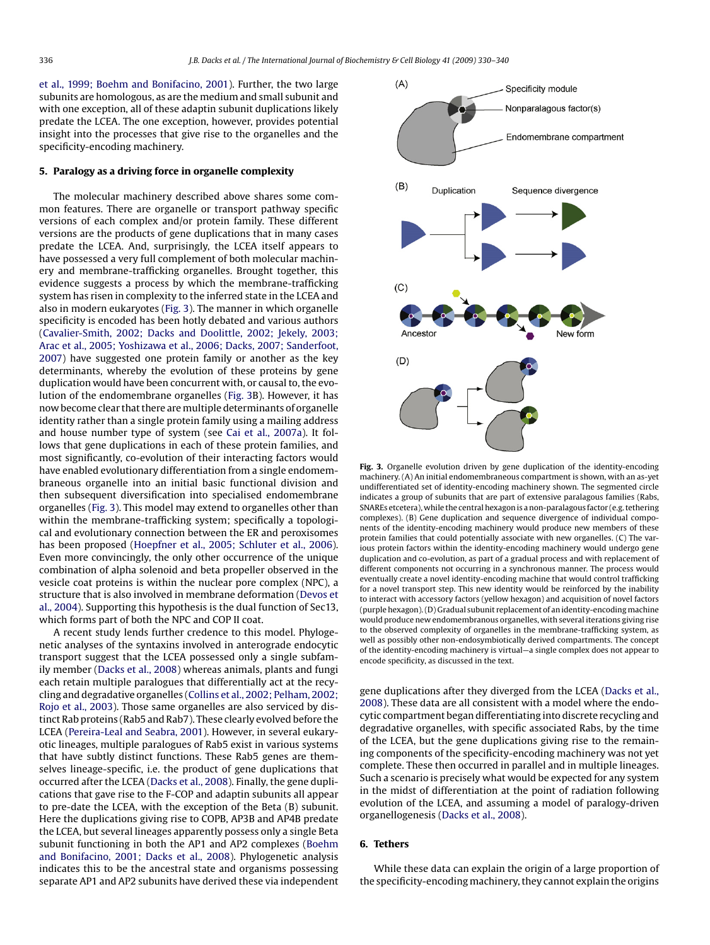<span id="page-6-0"></span>[et al., 1999; Boehm and Bonifacino, 2001\).](#page-10-0) Further, the two large subunits are homologous, as are the medium and small subunit and with one exception, all of these adaptin subunit duplications likely predate the LCEA. The one exception, however, provides potential insight into the processes that give rise to the organelles and the specificity-encoding machinery.

### **5. Paralogy as a driving force in organelle complexity**

The molecular machinery described above shares some common features. There are organelle or transport pathway specific versions of each complex and/or protein family. These different versions are the products of gene duplications that in many cases predate the LCEA. And, surprisingly, the LCEA itself appears to have possessed a very full complement of both molecular machinery and membrane-trafficking organelles. Brought together, this evidence suggests a process by which the membrane-trafficking system has risen in complexity to the inferred state in the LCEA and also in modern eukaryotes (Fig. 3). The manner in which organelle specificity is encoded has been hotly debated and various authors ([Cavalier-Smith, 2002; Dacks and Doolittle, 2002; Jekely, 2003;](#page-9-0) [Arac et al., 2005; Yoshizawa et al., 2006; Dacks, 2007; Sanderfoot,](#page-9-0) [2007\)](#page-9-0) have suggested one protein family or another as the key determinants, whereby the evolution of these proteins by gene duplication would have been concurrent with, or causal to, the evolution of the endomembrane organelles (Fig. 3B). However, it has now become clear that there are multiple determinants of organelle identity rather than a single protein family using a mailing address and house number type of system (see [Cai et al., 2007a\).](#page-9-0) It follows that gene duplications in each of these protein families, and most significantly, co-evolution of their interacting factors would have enabled evolutionary differentiation from a single endomembraneous organelle into an initial basic functional division and then subsequent diversification into specialised endomembrane organelles (Fig. 3). This model may extend to organelles other than within the membrane-trafficking system; specifically a topological and evolutionary connection between the ER and peroxisomes has been proposed [\(Hoepfner et al., 2005; Schluter et al., 2006\).](#page-9-0) Even more convincingly, the only other occurrence of the unique combination of alpha solenoid and beta propeller observed in the vesicle coat proteins is within the nuclear pore complex (NPC), a structure that is also involved in membrane deformation ([Devos et](#page-9-0) [al., 2004\).](#page-9-0) Supporting this hypothesis is the dual function of Sec13, which forms part of both the NPC and COP II coat.

A recent study lends further credence to this model. Phylogenetic analyses of the syntaxins involved in anterograde endocytic transport suggest that the LCEA possessed only a single subfamily member [\(Dacks et al., 2008\) w](#page-9-0)hereas animals, plants and fungi each retain multiple paralogues that differentially act at the recycling and degradative organelles [\(Collins et al., 2002; Pelham, 2002;](#page-9-0) [Rojo et al., 2003\).](#page-9-0) Those same organelles are also serviced by distinct Rab proteins (Rab5 and Rab7). These clearly evolved before the LCEA ([Pereira-Leal and Seabra, 2001\).](#page-10-0) However, in several eukaryotic lineages, multiple paralogues of Rab5 exist in various systems that have subtly distinct functions. These Rab5 genes are themselves lineage-specific, i.e. the product of gene duplications that occurred after the LCEA [\(Dacks et al., 2008\).](#page-9-0) Finally, the gene duplications that gave rise to the F-COP and adaptin subunits all appear to pre-date the LCEA, with the exception of the Beta (B) subunit. Here the duplications giving rise to COPB, AP3B and AP4B predate the LCEA, but several lineages apparently possess only a single Beta subunit functioning in both the AP1 and AP2 complexes [\(Boehm](#page-9-0) [and Bonifacino, 2001; Dacks et al., 2008\).](#page-9-0) Phylogenetic analysis indicates this to be the ancestral state and organisms possessing separate AP1 and AP2 subunits have derived these via independent



**Fig. 3.** Organelle evolution driven by gene duplication of the identity-encoding machinery. (A) An initial endomembraneous compartment is shown, with an as-yet undifferentiated set of identity-encoding machinery shown. The segmented circle indicates a group of subunits that are part of extensive paralagous families (Rabs, SNAREs etcetera), while the central hexagon is a non-paralagous factor (e.g. tethering complexes). (B) Gene duplication and sequence divergence of individual components of the identity-encoding machinery would produce new members of these protein families that could potentially associate with new organelles. (C) The various protein factors within the identity-encoding machinery would undergo gene duplication and co-evolution, as part of a gradual process and with replacement of different components not occurring in a synchronous manner. The process would eventually create a novel identity-encoding machine that would control trafficking for a novel transport step. This new identity would be reinforced by the inability to interact with accessory factors (yellow hexagon) and acquisition of novel factors (purple hexagon). (D) Gradual subunit replacement of an identity-encodingmachine would produce new endomembranous organelles, with several iterations giving rise to the observed complexity of organelles in the membrane-trafficking system, as well as possibly other non-endosymbiotically derived compartments. The concept of the identity-encoding machinery is virtual—a single complex does not appear to encode specificity, as discussed in the text.

gene duplications after they diverged from the LCEA ([Dacks et al.,](#page-9-0) [2008\).](#page-9-0) These data are all consistent with a model where the endocytic compartment began differentiating into discrete recycling and degradative organelles, with specific associated Rabs, by the time of the LCEA, but the gene duplications giving rise to the remaining components of the specificity-encoding machinery was not yet complete. These then occurred in parallel and in multiple lineages. Such a scenario is precisely what would be expected for any system in the midst of differentiation at the point of radiation following evolution of the LCEA, and assuming a model of paralogy-driven organellogenesis ([Dacks et al., 2008\).](#page-9-0)

## **6. Tethers**

While these data can explain the origin of a large proportion of the specificity-encoding machinery, they cannot explain the origins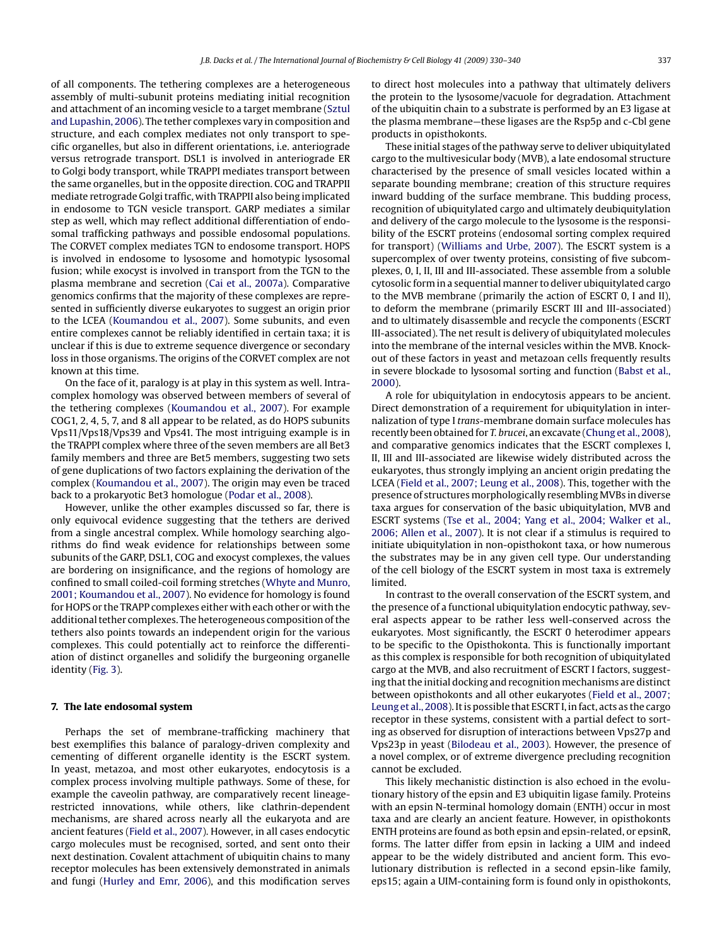of all components. The tethering complexes are a heterogeneous assembly of multi-subunit proteins mediating initial recognition and attachment of an incoming vesicle to a target membrane ([Sztul](#page-10-0) [and Lupashin, 2006\).](#page-10-0) The tether complexes vary in composition and structure, and each complex mediates not only transport to specific organelles, but also in different orientations, i.e. anteriograde versus retrograde transport. DSL1 is involved in anteriograde ER to Golgi body transport, while TRAPPI mediates transport between the same organelles, but in the opposite direction. COG and TRAPPII mediate retrograde Golgi traffic, with TRAPPII also being implicated in endosome to TGN vesicle transport. GARP mediates a similar step as well, which may reflect additional differentiation of endosomal trafficking pathways and possible endosomal populations. The CORVET complex mediates TGN to endosome transport. HOPS is involved in endosome to lysosome and homotypic lysosomal fusion; while exocyst is involved in transport from the TGN to the plasma membrane and secretion [\(Cai et al., 2007a\).](#page-9-0) Comparative genomics confirms that the majority of these complexes are represented in sufficiently diverse eukaryotes to suggest an origin prior to the LCEA ([Koumandou et al., 2007\).](#page-9-0) Some subunits, and even entire complexes cannot be reliably identified in certain taxa; it is unclear if this is due to extreme sequence divergence or secondary loss in those organisms. The origins of the CORVET complex are not known at this time.

On the face of it, paralogy is at play in this system as well. Intracomplex homology was observed between members of several of the tethering complexes ([Koumandou et al., 2007\).](#page-9-0) For example COG1, 2, 4, 5, 7, and 8 all appear to be related, as do HOPS subunits Vps11/Vps18/Vps39 and Vps41. The most intriguing example is in the TRAPPI complex where three of the seven members are all Bet3 family members and three are Bet5 members, suggesting two sets of gene duplications of two factors explaining the derivation of the complex ([Koumandou et al., 2007\).](#page-9-0) The origin may even be traced back to a prokaryotic Bet3 homologue ([Podar et al., 2008\).](#page-10-0)

However, unlike the other examples discussed so far, there is only equivocal evidence suggesting that the tethers are derived from a single ancestral complex. While homology searching algorithms do find weak evidence for relationships between some subunits of the GARP, DSL1, COG and exocyst complexes, the values are bordering on insignificance, and the regions of homology are confined to small coiled-coil forming stretches [\(Whyte and Munro,](#page-10-0) [2001; Koumandou et al., 2007\).](#page-10-0) No evidence for homology is found for HOPS or the TRAPP complexes either with each other or with the additional tether complexes. The heterogeneous composition of the tethers also points towards an independent origin for the various complexes. This could potentially act to reinforce the differentiation of distinct organelles and solidify the burgeoning organelle identity ([Fig. 3\).](#page-6-0)

#### **7. The late endosomal system**

Perhaps the set of membrane-trafficking machinery that best exemplifies this balance of paralogy-driven complexity and cementing of different organelle identity is the ESCRT system. In yeast, metazoa, and most other eukaryotes, endocytosis is a complex process involving multiple pathways. Some of these, for example the caveolin pathway, are comparatively recent lineagerestricted innovations, while others, like clathrin-dependent mechanisms, are shared across nearly all the eukaryota and are ancient features ([Field et al., 2007\).](#page-9-0) However, in all cases endocytic cargo molecules must be recognised, sorted, and sent onto their next destination. Covalent attachment of ubiquitin chains to many receptor molecules has been extensively demonstrated in animals and fungi ([Hurley and Emr, 2006\),](#page-9-0) and this modification serves

to direct host molecules into a pathway that ultimately delivers the protein to the lysosome/vacuole for degradation. Attachment of the ubiquitin chain to a substrate is performed by an E3 ligase at the plasma membrane—these ligases are the Rsp5p and c-Cbl gene products in opisthokonts.

These initial stages of the pathway serve to deliver ubiquitylated cargo to the multivesicular body (MVB), a late endosomal structure characterised by the presence of small vesicles located within a separate bounding membrane; creation of this structure requires inward budding of the surface membrane. This budding process, recognition of ubiquitylated cargo and ultimately deubiquitylation and delivery of the cargo molecule to the lysosome is the responsibility of the ESCRT proteins (endosomal sorting complex required for transport) [\(Williams and Urbe, 2007\).](#page-10-0) The ESCRT system is a supercomplex of over twenty proteins, consisting of five subcomplexes, 0, I, II, III and III-associated. These assemble from a soluble cytosolic form in a sequential manner to deliver ubiquitylated cargo to the MVB membrane (primarily the action of ESCRT 0, I and II), to deform the membrane (primarily ESCRT III and III-associated) and to ultimately disassemble and recycle the components (ESCRT III-associated). The net result is delivery of ubiquitylated molecules into the membrane of the internal vesicles within the MVB. Knockout of these factors in yeast and metazoan cells frequently results in severe blockade to lysosomal sorting and function [\(Babst et al.,](#page-8-0) [2000\).](#page-8-0)

A role for ubiquitylation in endocytosis appears to be ancient. Direct demonstration of a requirement for ubiquitylation in internalization of type I *trans*-membrane domain surface molecules has recently been obtained for *T. brucei*, an excavate ([Chung et al., 2008\),](#page-9-0) and comparative genomics indicates that the ESCRT complexes I, II, III and III-associated are likewise widely distributed across the eukaryotes, thus strongly implying an ancient origin predating the LCEA [\(Field et al., 2007; Leung et al., 2008\).](#page-9-0) This, together with the presence of structures morphologically resembling MVBs in diverse taxa argues for conservation of the basic ubiquitylation, MVB and ESCRT systems [\(Tse et al., 2004; Yang et al., 2004; Walker et al.,](#page-10-0) [2006; Allen et al., 2007\).](#page-10-0) It is not clear if a stimulus is required to initiate ubiquitylation in non-opisthokont taxa, or how numerous the substrates may be in any given cell type. Our understanding of the cell biology of the ESCRT system in most taxa is extremely limited.

In contrast to the overall conservation of the ESCRT system, and the presence of a functional ubiquitylation endocytic pathway, several aspects appear to be rather less well-conserved across the eukaryotes. Most significantly, the ESCRT 0 heterodimer appears to be specific to the Opisthokonta. This is functionally important as this complex is responsible for both recognition of ubiquitylated cargo at the MVB, and also recruitment of ESCRT I factors, suggesting that the initial docking and recognition mechanisms are distinct between opisthokonts and all other eukaryotes [\(Field et al., 2007;](#page-9-0) [Leung et al., 2008\).](#page-9-0) It is possible that ESCRT I, in fact, acts as the cargo receptor in these systems, consistent with a partial defect to sorting as observed for disruption of interactions between Vps27p and Vps23p in yeast ([Bilodeau et al., 2003\).](#page-8-0) However, the presence of a novel complex, or of extreme divergence precluding recognition cannot be excluded.

This likely mechanistic distinction is also echoed in the evolutionary history of the epsin and E3 ubiquitin ligase family. Proteins with an epsin N-terminal homology domain (ENTH) occur in most taxa and are clearly an ancient feature. However, in opisthokonts ENTH proteins are found as both epsin and epsin-related, or epsinR, forms. The latter differ from epsin in lacking a UIM and indeed appear to be the widely distributed and ancient form. This evolutionary distribution is reflected in a second epsin-like family, eps15; again a UIM-containing form is found only in opisthokonts,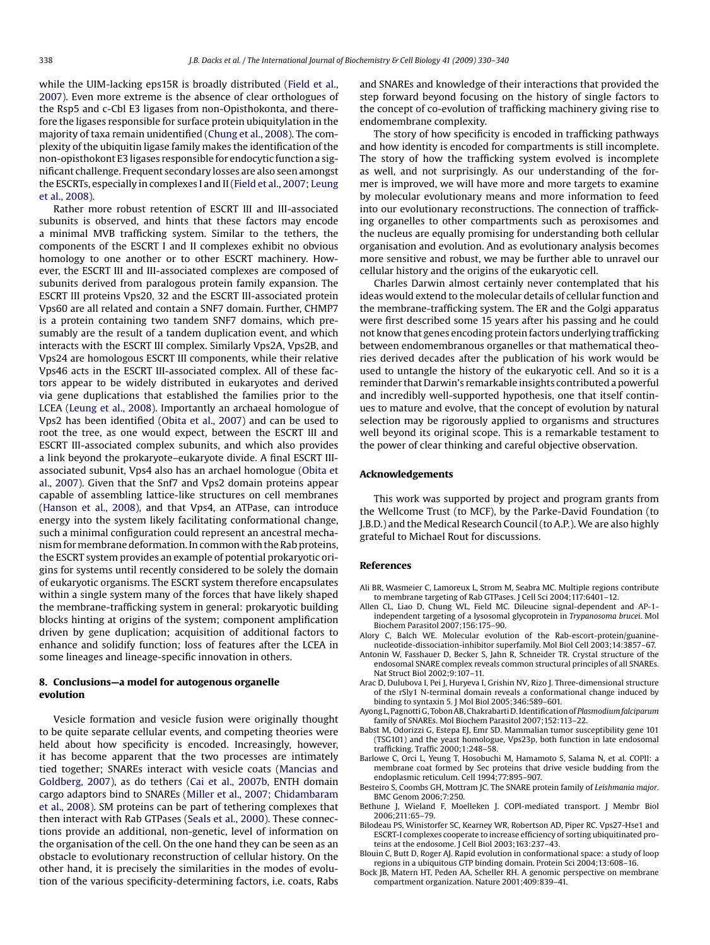<span id="page-8-0"></span>while the UIM-lacking eps15R is broadly distributed ([Field et al.,](#page-9-0) [2007\).](#page-9-0) Even more extreme is the absence of clear orthologues of the Rsp5 and c-Cbl E3 ligases from non-Opisthokonta, and therefore the ligases responsible for surface protein ubiquitylation in the majority of taxa remain unidentified ([Chung et al., 2008\).](#page-9-0) The complexity of the ubiquitin ligase family makes the identification of the non-opisthokont E3 ligases responsible for endocytic function a significant challenge. Frequent secondary losses are also seen amongst the ESCRTs, especially in complexes I and II ([Field et al., 2007; Leung](#page-9-0) [et al., 2008\).](#page-9-0)

Rather more robust retention of ESCRT III and III-associated subunits is observed, and hints that these factors may encode a minimal MVB trafficking system. Similar to the tethers, the components of the ESCRT I and II complexes exhibit no obvious homology to one another or to other ESCRT machinery. However, the ESCRT III and III-associated complexes are composed of subunits derived from paralogous protein family expansion. The ESCRT III proteins Vps20, 32 and the ESCRT III-associated protein Vps60 are all related and contain a SNF7 domain. Further, CHMP7 is a protein containing two tandem SNF7 domains, which presumably are the result of a tandem duplication event, and which interacts with the ESCRT III complex. Similarly Vps2A, Vps2B, and Vps24 are homologous ESCRT III components, while their relative Vps46 acts in the ESCRT III-associated complex. All of these factors appear to be widely distributed in eukaryotes and derived via gene duplications that established the families prior to the LCEA [\(Leung et al., 2008\).](#page-9-0) Importantly an archaeal homologue of Vps2 has been identified ([Obita et al., 2007\)](#page-9-0) and can be used to root the tree, as one would expect, between the ESCRT III and ESCRT III-associated complex subunits, and which also provides a link beyond the prokaryote–eukaryote divide. A final ESCRT IIIassociated subunit, Vps4 also has an archael homologue ([Obita et](#page-9-0) [al., 2007\).](#page-9-0) Given that the Snf7 and Vps2 domain proteins appear capable of assembling lattice-like structures on cell membranes ([Hanson et al., 2008\),](#page-9-0) and that Vps4, an ATPase, can introduce energy into the system likely facilitating conformational change, such a minimal configuration could represent an ancestral mechanism for membrane deformation. In common with the Rab proteins, the ESCRT system provides an example of potential prokaryotic origins for systems until recently considered to be solely the domain of eukaryotic organisms. The ESCRT system therefore encapsulates within a single system many of the forces that have likely shaped the membrane-trafficking system in general: prokaryotic building blocks hinting at origins of the system; component amplification driven by gene duplication; acquisition of additional factors to enhance and solidify function; loss of features after the LCEA in some lineages and lineage-specific innovation in others.

## **8. Conclusions—a model for autogenous organelle evolution**

Vesicle formation and vesicle fusion were originally thought to be quite separate cellular events, and competing theories were held about how specificity is encoded. Increasingly, however, it has become apparent that the two processes are intimately tied together; SNAREs interact with vesicle coats [\(Mancias and](#page-9-0) [Goldberg, 2007\),](#page-9-0) as do tethers ([Cai et al., 2007b,](#page-9-0) ENTH domain cargo adaptors bind to SNAREs ([Miller et al., 2007; Chidambaram](#page-9-0) [et al., 2008\).](#page-9-0) SM proteins can be part of tethering complexes that then interact with Rab GTPases ([Seals et al., 2000\).](#page-10-0) These connections provide an additional, non-genetic, level of information on the organisation of the cell. On the one hand they can be seen as an obstacle to evolutionary reconstruction of cellular history. On the other hand, it is precisely the similarities in the modes of evolution of the various specificity-determining factors, i.e. coats, Rabs and SNAREs and knowledge of their interactions that provided the step forward beyond focusing on the history of single factors to the concept of co-evolution of trafficking machinery giving rise to endomembrane complexity.

The story of how specificity is encoded in trafficking pathways and how identity is encoded for compartments is still incomplete. The story of how the trafficking system evolved is incomplete as well, and not surprisingly. As our understanding of the former is improved, we will have more and more targets to examine by molecular evolutionary means and more information to feed into our evolutionary reconstructions. The connection of trafficking organelles to other compartments such as peroxisomes and the nucleus are equally promising for understanding both cellular organisation and evolution. And as evolutionary analysis becomes more sensitive and robust, we may be further able to unravel our cellular history and the origins of the eukaryotic cell.

Charles Darwin almost certainly never contemplated that his ideas would extend to the molecular details of cellular function and the membrane-trafficking system. The ER and the Golgi apparatus were first described some 15 years after his passing and he could not know that genes encoding protein factors underlying trafficking between endomembranous organelles or that mathematical theories derived decades after the publication of his work would be used to untangle the history of the eukaryotic cell. And so it is a reminder that Darwin's remarkable insights contributed a powerful and incredibly well-supported hypothesis, one that itself continues to mature and evolve, that the concept of evolution by natural selection may be rigorously applied to organisms and structures well beyond its original scope. This is a remarkable testament to the power of clear thinking and careful objective observation.

## **Acknowledgements**

This work was supported by project and program grants from the Wellcome Trust (to MCF), by the Parke-David Foundation (to J.B.D.) and the Medical Research Council (to A.P.). We are also highly grateful to Michael Rout for discussions.

#### **References**

- Ali BR, Wasmeier C, Lamoreux L, Strom M, Seabra MC. Multiple regions contribute to membrane targeting of Rab GTPases. J Cell Sci 2004;117:6401–12.
- Allen CL, Liao D, Chung WL, Field MC. Dileucine signal-dependent and AP-1 independent targeting of a lysosomal glycoprotein in *Trypanosoma brucei*. Mol Biochem Parasitol 2007;156:175–90.
- Alory C, Balch WE. Molecular evolution of the Rab-escort-protein/guaninenucleotide-dissociation-inhibitor superfamily. Mol Biol Cell 2003;14:3857–67.
- Antonin W, Fasshauer D, Becker S, Jahn R, Schneider TR. Crystal structure of the endosomal SNARE complex reveals common structural principles of all SNAREs. Nat Struct Biol 2002;9:107–11.
- Arac D, Dulubova I, Pei J, Huryeva I, Grishin NV, Rizo J. Three-dimensional structure of the rSly1 N-terminal domain reveals a conformational change induced by binding to syntaxin 5. J Mol Biol 2005;346:589–601.
- Ayong L, Pagnotti G, Tobon AB, Chakrabarti D. Identification of *Plasmodium falciparum* family of SNAREs. Mol Biochem Parasitol 2007;152:113–22.
- Babst M, Odorizzi G, Estepa EJ, Emr SD. Mammalian tumor susceptibility gene 101 (TSG101) and the yeast homologue, Vps23p, both function in late endosomal trafficking. Traffic 2000;1:248–58.
- Barlowe C, Orci L, Yeung T, Hosobuchi M, Hamamoto S, Salama N, et al. COPII: a membrane coat formed by Sec proteins that drive vesicle budding from the endoplasmic reticulum. Cell 1994;77:895–907.
- Besteiro S, Coombs GH, Mottram JC. The SNARE protein family of *Leishmania major*. BMC Genom 2006;7:250.
- Bethune J, Wieland F, Moelleken J. COPI-mediated transport. J Membr Biol 2006;211:65–79.
- Bilodeau PS, Winistorfer SC, Kearney WR, Robertson AD, Piper RC. Vps27-Hse1 and ESCRT-I complexes cooperate to increase efficiency of sorting ubiquitinated proteins at the endosome. J Cell Biol 2003;163:237–43.
- Blouin C, Butt D, Roger AJ. Rapid evolution in conformational space: a study of loop regions in a ubiquitous GTP binding domain. Protein Sci 2004;13:608–16.
- Bock JB, Matern HT, Peden AA, Scheller RH. A genomic perspective on membrane compartment organization. Nature 2001;409:839–41.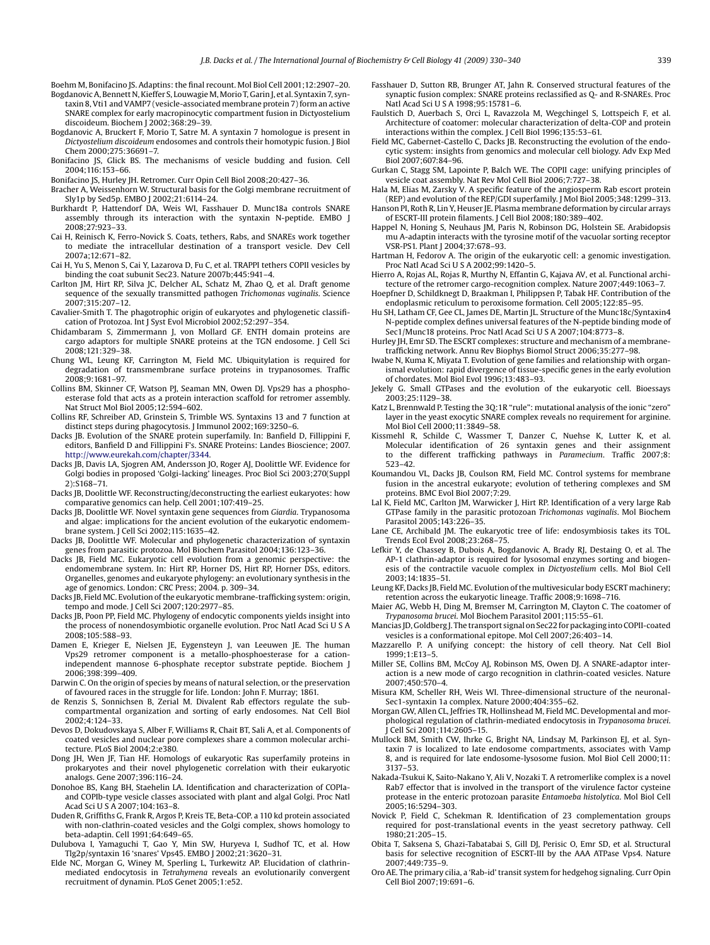- <span id="page-9-0"></span>Boehm M, Bonifacino JS. Adaptins: the final recount. Mol Biol Cell 2001;12:2907–20.
- Bogdanovic A, Bennett N, Kieffer S, Louwagie M, Morio T, Garin J, et al. Syntaxin 7, syntaxin 8, Vti1 and VAMP7 (vesicle-associated membrane protein 7) form an active SNARE complex for early macropinocytic compartment fusion in Dictyostelium discoideum. Biochem J 2002;368:29–39.
- Bogdanovic A, Bruckert F, Morio T, Satre M. A syntaxin 7 homologue is present in *Dictyostelium discoideum* endosomes and controls their homotypic fusion. J Biol Chem 2000;275:36691–7.
- Bonifacino JS, Glick BS. The mechanisms of vesicle budding and fusion. Cell 2004;116:153–66.
- Bonifacino JS, Hurley JH. Retromer. Curr Opin Cell Biol 2008;20:427–36.
- Bracher A, Weissenhorn W. Structural basis for the Golgi membrane recruitment of Sly1p by Sed5p. EMBO J 2002;21:6114–24.
- Burkhardt P, Hattendorf DA, Weis WI, Fasshauer D. Munc18a controls SNARE assembly through its interaction with the syntaxin N-peptide. EMBO J 2008;27:923–33.
- Cai H, Reinisch K, Ferro-Novick S. Coats, tethers, Rabs, and SNAREs work together to mediate the intracellular destination of a transport vesicle. Dev Cell 2007a;12:671–82.
- Cai H, Yu S, Menon S, Cai Y, Lazarova D, Fu C, et al. TRAPPI tethers COPII vesicles by binding the coat subunit Sec23. Nature 2007b;445:941–4.
- Carlton JM, Hirt RP, Silva JC, Delcher AL, Schatz M, Zhao Q, et al. Draft genome sequence of the sexually transmitted pathogen *Trichomonas vaginalis*. Science 2007;315:207–12.
- Cavalier-Smith T. The phagotrophic origin of eukaryotes and phylogenetic classification of Protozoa. Int J Syst Evol Microbiol 2002;52:297–354.
- Chidambaram S, Zimmermann J, von Mollard GF. ENTH domain proteins are cargo adaptors for multiple SNARE proteins at the TGN endosome. J Cell Sci 2008;121:329–38.
- Chung WL, Leung KF, Carrington M, Field MC. Ubiquitylation is required for degradation of transmembrane surface proteins in trypanosomes. Traffic 2008;9:1681–97.
- Collins BM, Skinner CF, Watson PJ, Seaman MN, Owen DJ. Vps29 has a phosphoesterase fold that acts as a protein interaction scaffold for retromer assembly. Nat Struct Mol Biol 2005;12:594–602.
- Collins RF, Schreiber AD, Grinstein S, Trimble WS. Syntaxins 13 and 7 function at distinct steps during phagocytosis. J Immunol 2002;169:3250–6.
- Dacks JB. Evolution of the SNARE protein superfamily. In: Banfield D, Fillippini F, editors, Banfield D and Fillippini F's. SNARE Proteins: Landes Bioscience; 2007. <http://www.eurekah.com/chapter/3344>.
- Dacks JB, Davis LA, Sjogren AM, Andersson JO, Roger AJ, Doolittle WF. Evidence for Golgi bodies in proposed 'Golgi-lacking' lineages. Proc Biol Sci 2003;270(Suppl 2):S168–71.
- Dacks JB, Doolittle WF. Reconstructing/deconstructing the earliest eukaryotes: how comparative genomics can help. Cell 2001;107:419–25.
- Dacks JB, Doolittle WF. Novel syntaxin gene sequences from *Giardia*. Trypanosoma and algae: implications for the ancient evolution of the eukaryotic endomembrane system. J Cell Sci 2002;115:1635–42.
- Dacks JB, Doolittle WF. Molecular and phylogenetic characterization of syntaxin genes from parasitic protozoa. Mol Biochem Parasitol 2004;136:123–36.
- Dacks JB, Field MC. Eukaryotic cell evolution from a genomic perspective: the endomembrane system. In: Hirt RP, Horner DS, Hirt RP, Horner DSs, editors. Organelles, genomes and eukaryote phylogeny: an evolutionary synthesis in the age of genomics. London: CRC Press; 2004. p. 309–34.
- Dacks JB, Field MC. Evolution of the eukaryotic membrane-trafficking system: origin, tempo and mode. J Cell Sci 2007;120:2977–85.
- Dacks JB, Poon PP, Field MC. Phylogeny of endocytic components yields insight into the process of nonendosymbiotic organelle evolution. Proc Natl Acad Sci U S A 2008;105:588–93.
- Damen E, Krieger E, Nielsen JE, Eygensteyn J, van Leeuwen JE. The human Vps29 retromer component is a metallo-phosphoesterase for a cationindependent mannose 6-phosphate receptor substrate peptide. Biochem J 2006;398:399–409.
- Darwin C. On the origin of species by means of natural selection, or the preservation of favoured races in the struggle for life. London: John F. Murray; 1861.
- de Renzis S, Sonnichsen B, Zerial M. Divalent Rab effectors regulate the subcompartmental organization and sorting of early endosomes. Nat Cell Biol 2002;4:124–33.
- Devos D, Dokudovskaya S, Alber F, Williams R, Chait BT, Sali A, et al. Components of coated vesicles and nuclear pore complexes share a common molecular architecture. PLoS Biol 2004;2:e380.
- Dong JH, Wen JF, Tian HF. Homologs of eukaryotic Ras superfamily proteins in prokaryotes and their novel phylogenetic correlation with their eukaryotic analogs. Gene 2007;396:116–24.
- Donohoe BS, Kang BH, Staehelin LA. Identification and characterization of COPIaand COPIb-type vesicle classes associated with plant and algal Golgi. Proc Natl Acad Sci U S A 2007;104:163–8.
- Duden R, Griffiths G, Frank R, Argos P, Kreis TE, Beta-COP. a 110 kd protein associated with non-clathrin-coated vesicles and the Golgi complex, shows homology to beta-adaptin. Cell 1991;64:649–65.
- Dulubova I, Yamaguchi T, Gao Y, Min SW, Huryeva I, Sudhof TC, et al. How Tlg2p/syntaxin 16 'snares' Vps45. EMBO J 2002;21:3620–31.
- Elde NC, Morgan G, Winey M, Sperling L, Turkewitz AP. Elucidation of clathrinmediated endocytosis in *Tetrahymena* reveals an evolutionarily convergent recruitment of dynamin. PLoS Genet 2005;1:e52.
- Fasshauer D, Sutton RB, Brunger AT, Jahn R. Conserved structural features of the synaptic fusion complex: SNARE proteins reclassified as Q- and R-SNAREs. Proc Natl Acad Sci U S A 1998;95:15781–6.
- Faulstich D, Auerbach S, Orci L, Ravazzola M, Wegchingel S, Lottspeich F, et al. Architecture of coatomer: molecular characterization of delta-COP and protein interactions within the complex. J Cell Biol 1996;135:53–61.
- Field MC, Gabernet-Castello C, Dacks JB. Reconstructing the evolution of the endocytic system: insights from genomics and molecular cell biology. Adv Exp Med Biol 2007;607:84–96.
- Gurkan C, Stagg SM, Lapointe P, Balch WE. The COPII cage: unifying principles of vesicle coat assembly. Nat Rev Mol Cell Biol 2006;7:727–38.
- Hala M, Elias M, Zarsky V. A specific feature of the angiosperm Rab escort protein (REP) and evolution of the REP/GDI superfamily. J Mol Biol 2005;348:1299–313. Hanson PI, Roth R, Lin Y, Heuser JE. Plasma membrane deformation by circular arrays
- of ESCRT-III protein filaments. J Cell Biol 2008;180:389–402. Happel N, Honing S, Neuhaus JM, Paris N, Robinson DG, Holstein SE. Arabidopsis
- mu A-adaptin interacts with the tyrosine motif of the vacuolar sorting receptor VSR-PS1. Plant J 2004;37:678–93.
- Hartman H, Fedorov A. The origin of the eukaryotic cell: a genomic investigation. Proc Natl Acad Sci U S A 2002;99:1420–5.
- Hierro A, Rojas AL, Rojas R, Murthy N, Effantin G, Kajava AV, et al. Functional architecture of the retromer cargo-recognition complex. Nature 2007;449:1063–7.
- Hoepfner D, Schildknegt D, Braakman I, Philippsen P, Tabak HF. Contribution of the endoplasmic reticulum to peroxisome formation. Cell 2005;122:85–95.
- Hu SH, Latham CF, Gee CL, James DE, Martin JL. Structure of the Munc18c/Syntaxin4 N-peptide complex defines universal features of the N-peptide binding mode of Sec1/Munc18 proteins. Proc Natl Acad Sci U S A 2007;104:8773–8.
- Hurley JH, Emr SD. The ESCRT complexes: structure and mechanism of a membranetrafficking network. Annu Rev Biophys Biomol Struct 2006;35:277–98.
- Iwabe N, Kuma K, Miyata T. Evolution of gene families and relationship with organismal evolution: rapid divergence of tissue-specific genes in the early evolution of chordates. Mol Biol Evol 1996;13:483–93.
- Jekely G. Small GTPases and the evolution of the eukaryotic cell. Bioessays 2003;25:1129–38.
- Katz L, Brennwald P. Testing the 3Q:1R "rule": mutational analysis of the ionic "zero" layer in the yeast exocytic SNARE complex reveals no requirement for arginine. Mol Biol Cell 2000;11:3849–58.
- Kissmehl R, Schilde C, Wassmer T, Danzer C, Nuehse K, Lutter K, et al. Molecular identification of 26 syntaxin genes and their assignment to the different trafficking pathways in *Paramecium*. Traffic 2007;8: 523–42.
- Koumandou VL, Dacks JB, Coulson RM, Field MC. Control systems for membrane fusion in the ancestral eukaryote; evolution of tethering complexes and SM proteins. BMC Evol Biol 2007;7:29.
- Lal K, Field MC, Carlton JM, Warwicker J, Hirt RP. Identification of a very large Rab GTPase family in the parasitic protozoan *Trichomonas vaginalis*. Mol Biochem Parasitol 2005;143:226–35.
- Lane CE, Archibald JM. The eukaryotic tree of life: endosymbiosis takes its TOL. Trends Ecol Evol 2008;23:268–75.
- Lefkir Y, de Chassey B, Dubois A, Bogdanovic A, Brady RJ, Destaing O, et al. The AP-1 clathrin-adaptor is required for lysosomal enzymes sorting and biogenesis of the contractile vacuole complex in *Dictyostelium* cells. Mol Biol Cell 2003;14:1835–51.
- Leung KF, Dacks JB, Field MC. Evolution of the multivesicular body ESCRT machinery; retention across the eukaryotic lineage. Traffic 2008;9:1698–716.
- Maier AG, Webb H, Ding M, Bremser M, Carrington M, Clayton C. The coatomer of *Trypanosoma brucei*. Mol Biochem Parasitol 2001;115:55–61.
- Mancias JD, Goldberg J. The transport signal on Sec22 for packaging into COPII-coated vesicles is a conformational epitope. Mol Cell 2007;26:403–14.
- Mazzarello P. A unifying concept: the history of cell theory. Nat Cell Biol 1999;1:E13–5.
- Miller SE, Collins BM, McCoy AJ, Robinson MS, Owen DJ. A SNARE-adaptor interaction is a new mode of cargo recognition in clathrin-coated vesicles. Nature 2007;450:570–4.
- Misura KM, Scheller RH, Weis WI. Three-dimensional structure of the neuronal-Sec1-syntaxin 1a complex. Nature 2000;404:355–62.
- Morgan GW, Allen CL, Jeffries TR, Hollinshead M, Field MC. Developmental and morphological regulation of clathrin-mediated endocytosis in *Trypanosoma brucei*. J Cell Sci 2001;114:2605–15.
- Mullock BM, Smith CW, Ihrke G, Bright NA, Lindsay M, Parkinson EJ, et al. Syntaxin 7 is localized to late endosome compartments, associates with Vamp 8, and is required for late endosome-lysosome fusion. Mol Biol Cell 2000;11: 3137–53.
- Nakada-Tsukui K, Saito-Nakano Y, Ali V, Nozaki T. A retromerlike complex is a novel Rab7 effector that is involved in the transport of the virulence factor cysteine protease in the enteric protozoan parasite *Entamoeba histolytica*. Mol Biol Cell 2005;16:5294–303.
- Novick P, Field C, Schekman R. Identification of 23 complementation groups required for post-translational events in the yeast secretory pathway. Cell 1980;21:205–15.
- Obita T, Saksena S, Ghazi-Tabatabai S, Gill DJ, Perisic O, Emr SD, et al. Structural basis for selective recognition of ESCRT-III by the AAA ATPase Vps4. Nature 2007;449:735–9.
- Oro AE. The primary cilia, a 'Rab-id' transit system for hedgehog signaling. Curr Opin Cell Biol 2007;19:691–6.